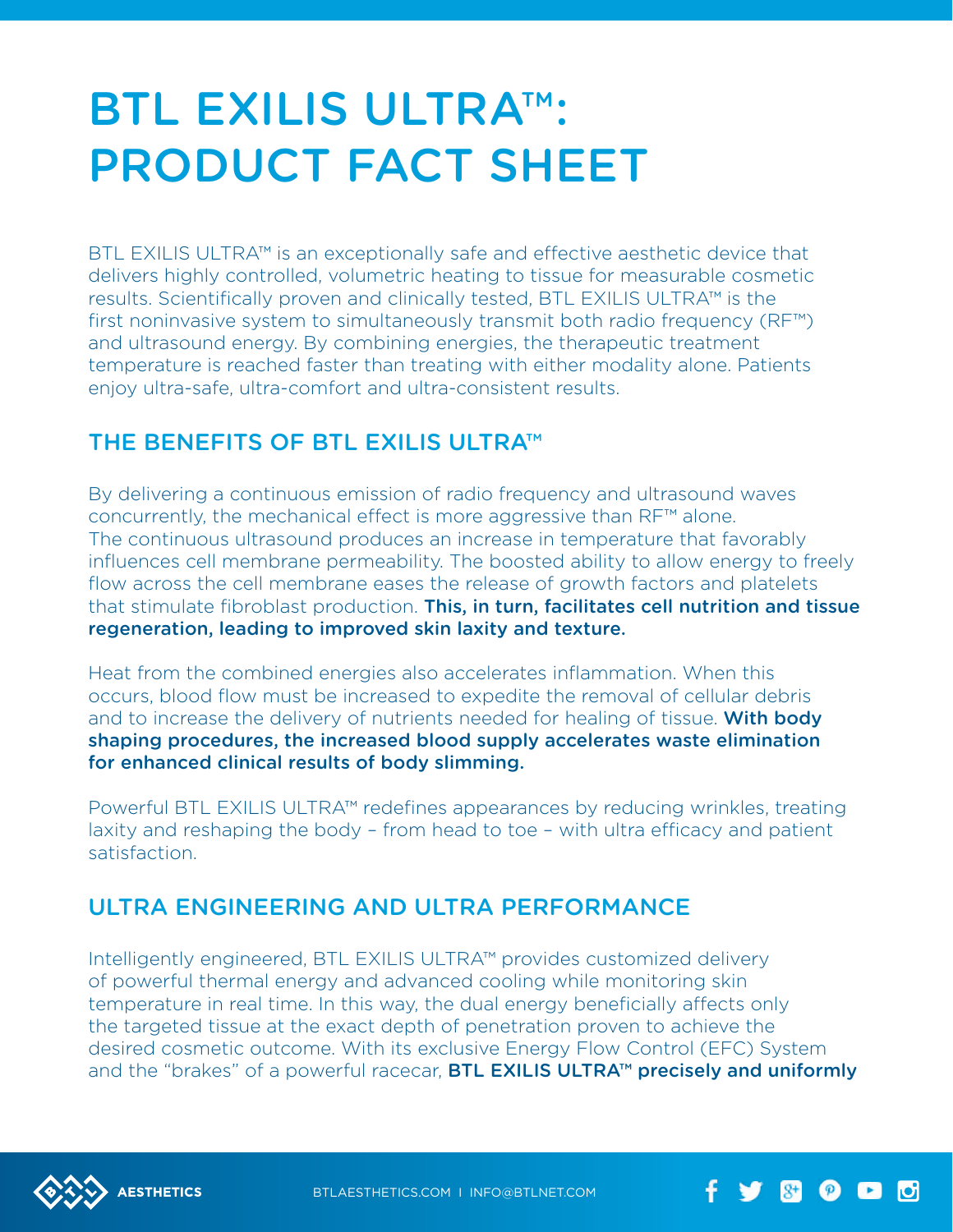# BTL exilis ultra™: Product Fact Sheet

BTL EXILIS ULTRA™ is an exceptionally safe and effective aesthetic device that delivers highly controlled, volumetric heating to tissue for measurable cosmetic results. Scientifically proven and clinically tested, BTL Exilis ULTRA™ is the first noninvasive system to simultaneously transmit both radio frequency (RF™) and ultrasound energy. By combining energies, the therapeutic treatment temperature is reached faster than treating with either modality alone. Patients enjoy ultra-safe, ultra-comfort and ultra-consistent results.

### THE BENEFITS OF BTL EXILIS ULTRA™

By delivering a continuous emission of radio frequency and ultrasound waves concurrently, the mechanical effect is more aggressive than RF™ alone. The continuous ultrasound produces an increase in temperature that favorably influences cell membrane permeability. The boosted ability to allow energy to freely flow across the cell membrane eases the release of growth factors and platelets that stimulate fibroblast production. This, in turn, facilitates cell nutrition and tissue regeneration, leading to improved skin laxity and texture.

Heat from the combined energies also accelerates inflammation. When this occurs, blood flow must be increased to expedite the removal of cellular debris and to increase the delivery of nutrients needed for healing of tissue. With body shaping procedures, the increased blood supply accelerates waste elimination for enhanced clinical results of body slimming.

Powerful BTL EXILIS ULTRA™ redefines appearances by reducing wrinkles, treating laxity and reshaping the body – from head to toe – with ultra efficacy and patient satisfaction.

## Ultra Engineering and Ultra Performance

Intelligently engineered, BTL Exilis ULTRA™ provides customized delivery of powerful thermal energy and advanced cooling while monitoring skin temperature in real time. In this way, the dual energy beneficially affects only the targeted tissue at the exact depth of penetration proven to achieve the desired cosmetic outcome. With its exclusive Energy Flow Control (EFC) System and the "brakes" of a powerful racecar, **BTL EXILIS ULTRA™ precisely and uniformly** 



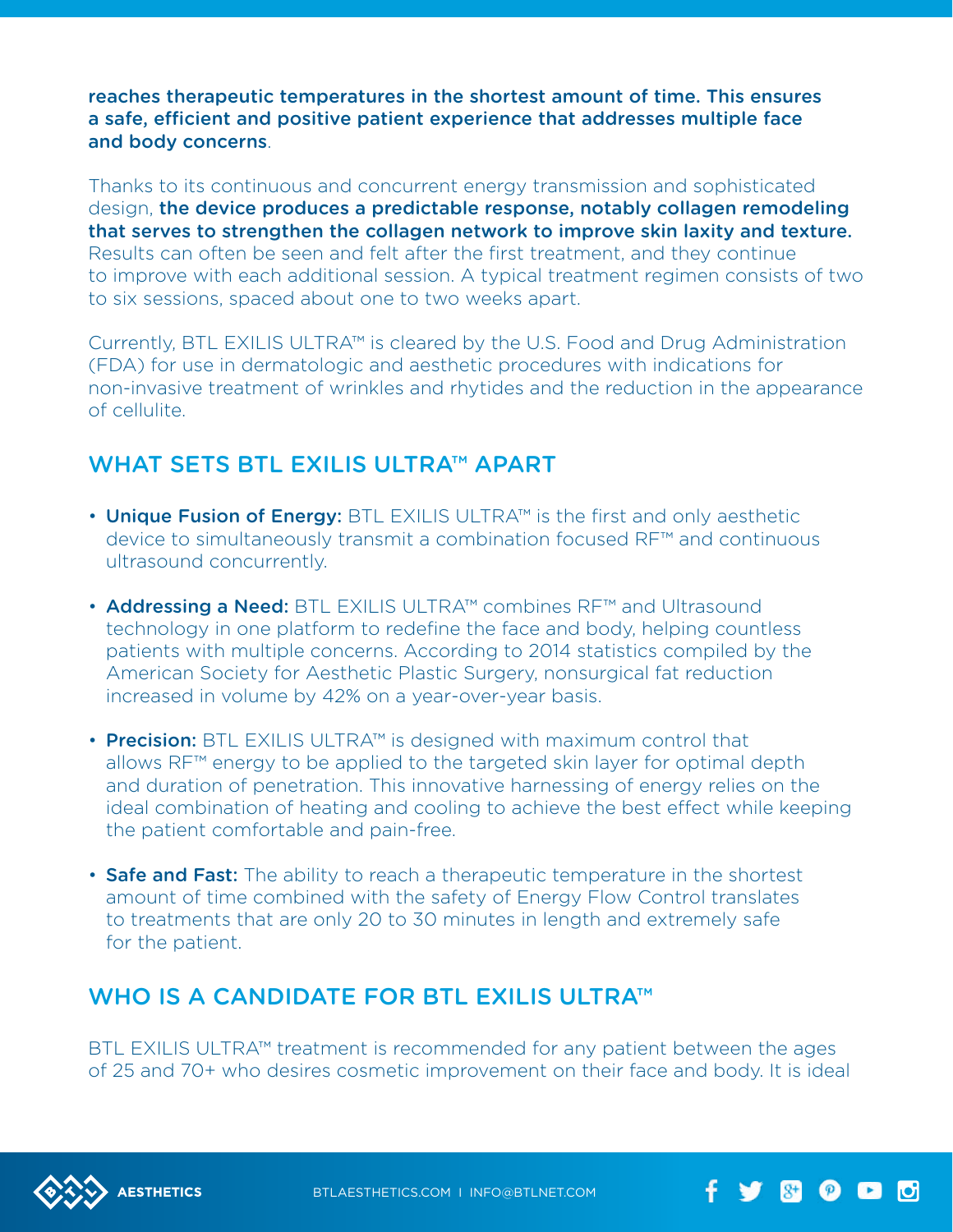reaches therapeutic temperatures in the shortest amount of time. This ensures a safe, efficient and positive patient experience that addresses multiple face and body concerns.

Thanks to its continuous and concurrent energy transmission and sophisticated design, the device produces a predictable response, notably collagen remodeling that serves to strengthen the collagen network to improve skin laxity and texture. Results can often be seen and felt after the first treatment, and they continue to improve with each additional session. A typical treatment regimen consists of two to six sessions, spaced about one to two weeks apart.

Currently, BTL Exilis ULTRA™ is cleared by the U.S. Food and Drug Administration (FDA) for use in dermatologic and aesthetic procedures with indications for non-invasive treatment of wrinkles and rhytides and the reduction in the appearance of cellulite.

#### WHAT SETS BTL EXILIS ULTRA™ APART

- Unique Fusion of Energy: BTL EXILIS ULTRA™ is the first and only aesthetic device to simultaneously transmit a combination focused RF™ and continuous ultrasound concurrently.
- Addressing a Need: BTL EXILIS ULTRA™ combines RF™ and Ultrasound technology in one platform to redefine the face and body, helping countless patients with multiple concerns. According to 2014 statistics compiled by the American Society for Aesthetic Plastic Surgery, nonsurgical fat reduction increased in volume by 42% on a year-over-year basis.
- Precision: BTL EXILIS ULTRA™ is designed with maximum control that allows RF™ energy to be applied to the targeted skin layer for optimal depth and duration of penetration. This innovative harnessing of energy relies on the ideal combination of heating and cooling to achieve the best effect while keeping the patient comfortable and pain-free.
- Safe and Fast: The ability to reach a therapeutic temperature in the shortest amount of time combined with the safety of Energy Flow Control translates to treatments that are only 20 to 30 minutes in length and extremely safe for the patient.

#### WHO IS A CANDIDATE FOR BTL EXILIS ULTRA™

BTL EXILIS ULTRA™ treatment is recommended for any patient between the ages of 25 and 70+ who desires cosmetic improvement on their face and body. It is ideal